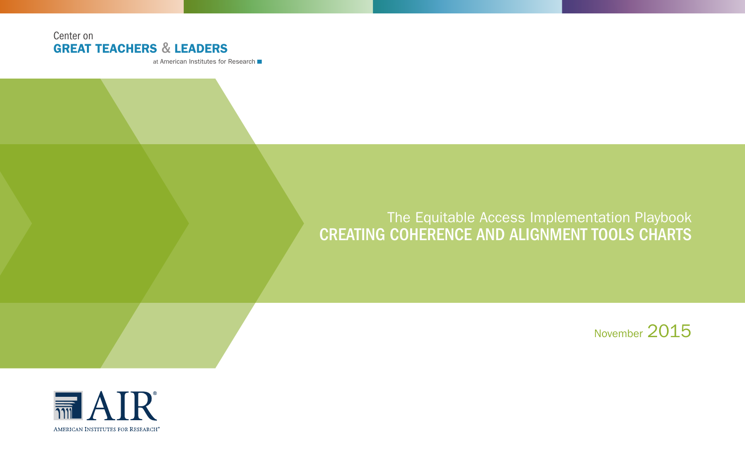# Center on GREAT TEACHERS & LEADERS

at American Institutes for Research

# The Equitable Access Implementation Playbook CREATING COHERENCE AND ALIGNMENT TOOLS CHARTS

November 2015

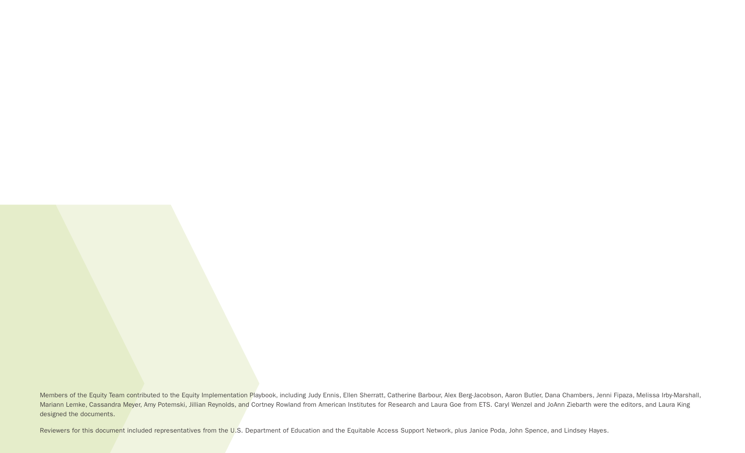Members of the Equity Team contributed to the Equity Implementation Playbook, including Judy Ennis, Ellen Sherratt, Catherine Barbour, Alex Berg-Jacobson, Aaron Butler, Dana Chambers, Jenni Fipaza, Melissa Irby-Marshall, Mariann Lemke, Cassandra Meyer, Amy Potemski, Jillian Reynolds, and Cortney Rowland from American Institutes for Research and Laura Goe from ETS. Caryl Wenzel and JoAnn Ziebarth were the editors, and Laura King designed the documents.

Reviewers for this document included representatives from the U.S. Department of Education and the Equitable Access Support Network, plus Janice Poda, John Spence, and Lindsey Hayes.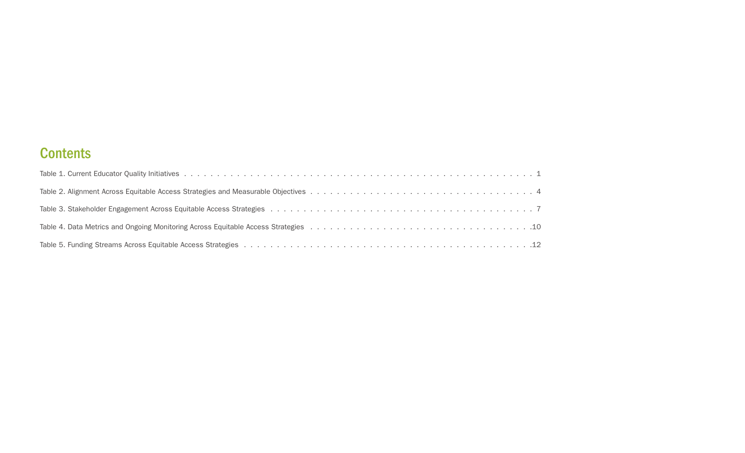# **Contents**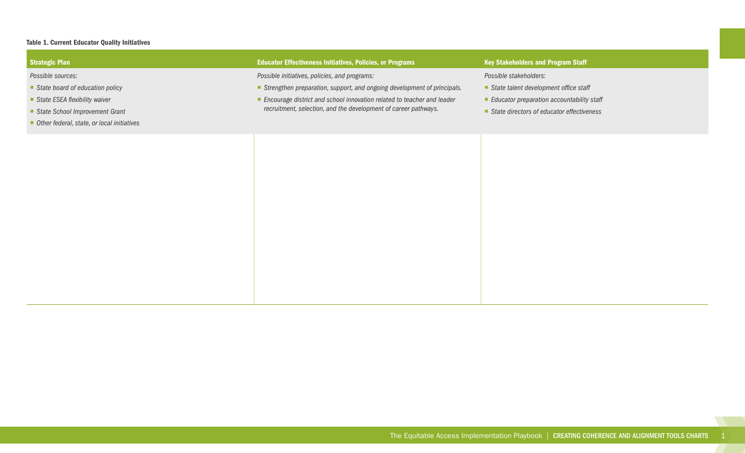#### Table 1. Current Educator Quality Initiatives

| Strategic Plan                             | <b>Educator Effectiveness Initiatives, Policies, or Programs</b>         | <b>Key Stakeholders and Program Staff</b>   |
|--------------------------------------------|--------------------------------------------------------------------------|---------------------------------------------|
| Possible sources:                          | Possible initiatives, policies, and programs:                            | Possible stakeholders:                      |
| State board of education policy            | Strengthen preparation, support, and ongoing development of principals.  | State talent development office staff       |
| State ESEA flexibility waiver              | ■ Encourage district and school innovation related to teacher and leader | Educator preparation accountability staff   |
| State School Improvement Grant             | recruitment, selection, and the development of career pathways.          | ■ State directors of educator effectiveness |
| Other federal, state, or local initiatives |                                                                          |                                             |
|                                            |                                                                          |                                             |
|                                            |                                                                          |                                             |
|                                            |                                                                          |                                             |
|                                            |                                                                          |                                             |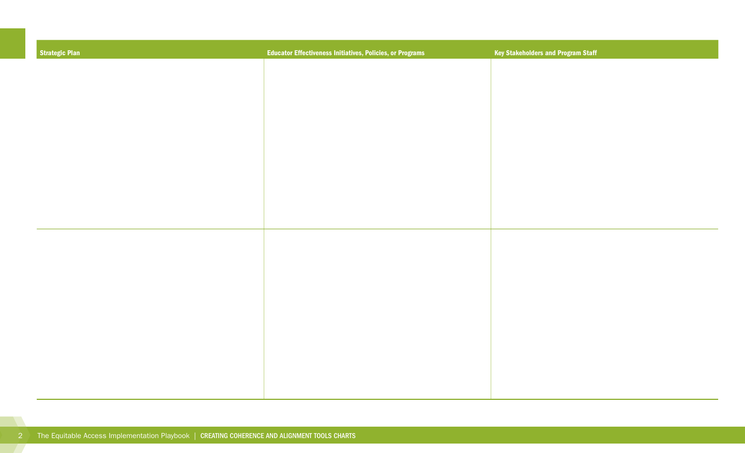| Strategic Plan | <b>Educator Effectiveness Initiatives, Policies, or Programs</b> | <b>Key Stakeholders and Program Staff</b> |
|----------------|------------------------------------------------------------------|-------------------------------------------|
|                |                                                                  |                                           |
|                |                                                                  |                                           |
|                |                                                                  |                                           |
|                |                                                                  |                                           |
|                |                                                                  |                                           |
|                |                                                                  |                                           |
|                |                                                                  |                                           |
|                |                                                                  |                                           |
|                |                                                                  |                                           |
|                |                                                                  |                                           |
|                |                                                                  |                                           |
|                |                                                                  |                                           |
|                |                                                                  |                                           |
|                |                                                                  |                                           |
|                |                                                                  |                                           |
|                |                                                                  |                                           |
|                |                                                                  |                                           |
|                |                                                                  |                                           |
|                |                                                                  |                                           |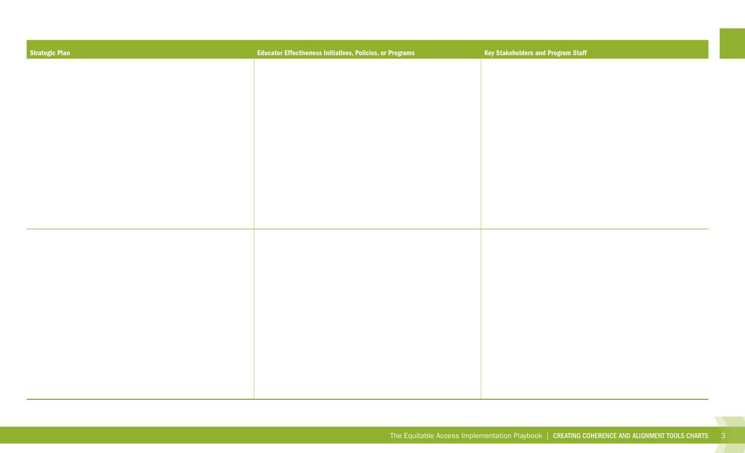| <b>Strategic Plan</b> | <b>Educator Effectiveness Initiatives, Policies, or Programs</b> | <b>Key Stakeholders and Program Staff</b> |
|-----------------------|------------------------------------------------------------------|-------------------------------------------|
|                       |                                                                  |                                           |
|                       |                                                                  |                                           |
|                       |                                                                  |                                           |
|                       |                                                                  |                                           |
|                       |                                                                  |                                           |
|                       |                                                                  |                                           |
|                       |                                                                  |                                           |
|                       |                                                                  |                                           |
|                       |                                                                  |                                           |
|                       |                                                                  |                                           |
|                       |                                                                  |                                           |
|                       |                                                                  |                                           |
|                       |                                                                  |                                           |
|                       |                                                                  |                                           |
|                       |                                                                  |                                           |
|                       |                                                                  |                                           |

 $\mathcal{L}(\mathcal{A})$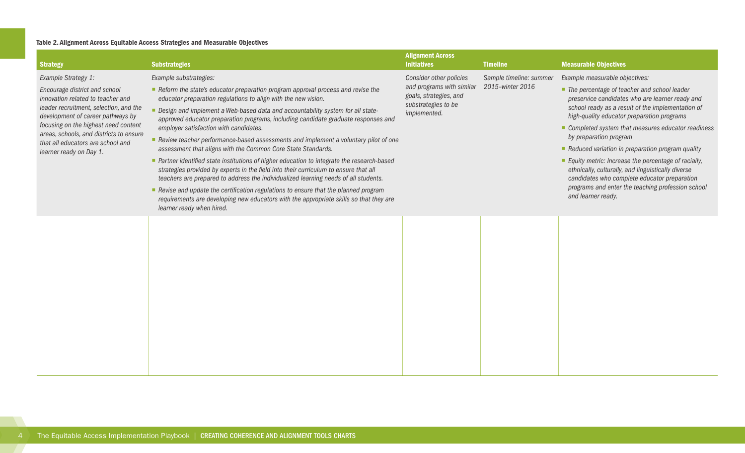#### <span id="page-7-0"></span>Table 2. Alignment Across Equitable Access Strategies and Measurable Objectives

| <b>Strategy</b>                                                                                                     | <b>Substrategies</b>                                                                                                                                                                                                                                                       | <b>Alignment Across</b><br><b>Initiatives</b>                              | <b>Timeline</b>                             | <b>Measurable Objectives</b>                                                                                                                              |
|---------------------------------------------------------------------------------------------------------------------|----------------------------------------------------------------------------------------------------------------------------------------------------------------------------------------------------------------------------------------------------------------------------|----------------------------------------------------------------------------|---------------------------------------------|-----------------------------------------------------------------------------------------------------------------------------------------------------------|
| Example Strategy 1:                                                                                                 | Example substrategies:                                                                                                                                                                                                                                                     | Consider other policies                                                    | Sample timeline: summer<br>2015-winter 2016 | Example measurable objectives:                                                                                                                            |
| Encourage district and school<br>innovation related to teacher and                                                  | Reform the state's educator preparation program approval process and revise the<br>educator preparation regulations to align with the new vision.                                                                                                                          | and programs with similar<br>goals, strategies, and<br>substrategies to be |                                             | ■ The percentage of teacher and school leader<br>preservice candidates who are learner ready and                                                          |
| leader recruitment, selection, and the<br>development of career pathways by<br>focusing on the highest need content | - Design and implement a Web-based data and accountability system for all state-<br>approved educator preparation programs, including candidate graduate responses and                                                                                                     | implemented.                                                               |                                             | school ready as a result of the implementation of<br>high-quality educator preparation programs                                                           |
| areas, schools, and districts to ensure                                                                             | employer satisfaction with candidates.<br>Review teacher performance-based assessments and implement a voluntary pilot of one<br>assessment that aligns with the Common Core State Standards.                                                                              |                                                                            |                                             | Completed system that measures educator readiness<br>by preparation program                                                                               |
| that all educators are school and<br>learner ready on Day 1.                                                        |                                                                                                                                                                                                                                                                            |                                                                            |                                             | Reduced variation in preparation program quality                                                                                                          |
|                                                                                                                     | ■ Partner identified state institutions of higher education to integrate the research-based<br>strategies provided by experts in the field into their curriculum to ensure that all<br>teachers are prepared to address the individualized learning needs of all students. |                                                                            |                                             | Equity metric: Increase the percentage of racially,<br>ethnically, culturally, and linguistically diverse<br>candidates who complete educator preparation |
|                                                                                                                     | Revise and update the certification regulations to ensure that the planned program<br>requirements are developing new educators with the appropriate skills so that they are<br>learner ready when hired.                                                                  |                                                                            |                                             | programs and enter the teaching profession school<br>and learner ready.                                                                                   |
|                                                                                                                     |                                                                                                                                                                                                                                                                            |                                                                            |                                             |                                                                                                                                                           |
|                                                                                                                     |                                                                                                                                                                                                                                                                            |                                                                            |                                             |                                                                                                                                                           |
|                                                                                                                     |                                                                                                                                                                                                                                                                            |                                                                            |                                             |                                                                                                                                                           |
|                                                                                                                     |                                                                                                                                                                                                                                                                            |                                                                            |                                             |                                                                                                                                                           |
|                                                                                                                     |                                                                                                                                                                                                                                                                            |                                                                            |                                             |                                                                                                                                                           |
|                                                                                                                     |                                                                                                                                                                                                                                                                            |                                                                            |                                             |                                                                                                                                                           |
|                                                                                                                     |                                                                                                                                                                                                                                                                            |                                                                            |                                             |                                                                                                                                                           |
|                                                                                                                     |                                                                                                                                                                                                                                                                            |                                                                            |                                             |                                                                                                                                                           |
|                                                                                                                     |                                                                                                                                                                                                                                                                            |                                                                            |                                             |                                                                                                                                                           |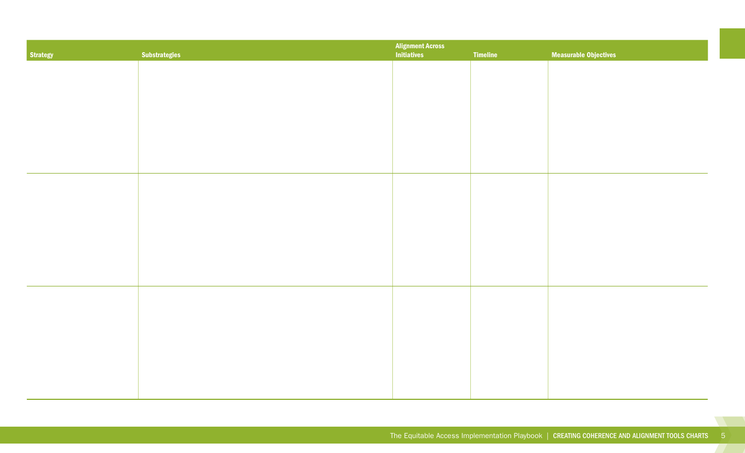| Strategy | <b>Substrategies</b> | <b>Alignment Across<br/>Initiatives</b><br><b>Measurable Objectives</b><br>Timeline |  |  |  |
|----------|----------------------|-------------------------------------------------------------------------------------|--|--|--|
|          |                      |                                                                                     |  |  |  |
|          |                      |                                                                                     |  |  |  |
|          |                      |                                                                                     |  |  |  |
|          |                      |                                                                                     |  |  |  |
|          |                      |                                                                                     |  |  |  |
|          |                      |                                                                                     |  |  |  |
|          |                      |                                                                                     |  |  |  |
|          |                      |                                                                                     |  |  |  |
|          |                      |                                                                                     |  |  |  |
|          |                      |                                                                                     |  |  |  |
|          |                      |                                                                                     |  |  |  |
|          |                      |                                                                                     |  |  |  |
|          |                      |                                                                                     |  |  |  |
|          |                      |                                                                                     |  |  |  |
|          |                      |                                                                                     |  |  |  |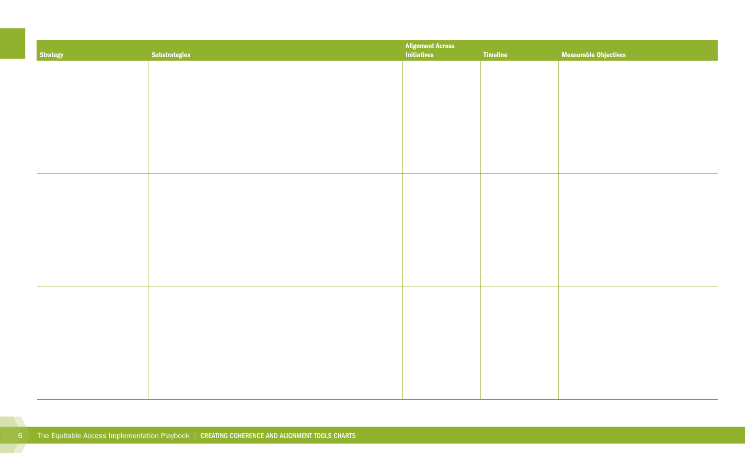| Strategy | <b>Substrategies</b> | <b>Alignment Across<br/>Initiatives</b> | <b>Timeline</b> | <b>Measurable Objectives</b> |
|----------|----------------------|-----------------------------------------|-----------------|------------------------------|
|          |                      |                                         |                 |                              |
|          |                      |                                         |                 |                              |
|          |                      |                                         |                 |                              |
|          |                      |                                         |                 |                              |
|          |                      |                                         |                 |                              |
|          |                      |                                         |                 |                              |
|          |                      |                                         |                 |                              |
|          |                      |                                         |                 |                              |
|          |                      |                                         |                 |                              |
|          |                      |                                         |                 |                              |
|          |                      |                                         |                 |                              |
|          |                      |                                         |                 |                              |
|          |                      |                                         |                 |                              |
|          |                      |                                         |                 |                              |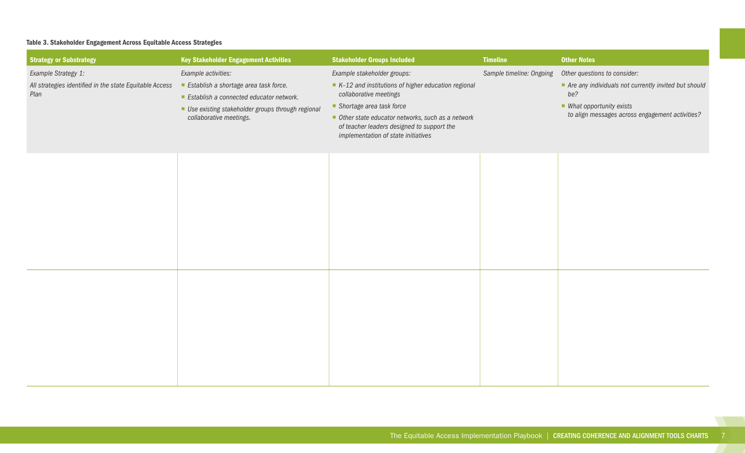## <span id="page-10-0"></span>Table 3. Stakeholder Engagement Across Equitable Access Strategies

| <b>Strategy or Substrategy</b>                                                         | <b>Key Stakeholder Engagement Activities</b>                                                                                                                                           | <b>Stakeholder Groups Included</b>                                                                                                                                                                                                                                                 | <b>Timeline</b>          | <b>Other Notes</b>                                                                                                                                                                       |
|----------------------------------------------------------------------------------------|----------------------------------------------------------------------------------------------------------------------------------------------------------------------------------------|------------------------------------------------------------------------------------------------------------------------------------------------------------------------------------------------------------------------------------------------------------------------------------|--------------------------|------------------------------------------------------------------------------------------------------------------------------------------------------------------------------------------|
| Example Strategy 1:<br>All strategies identified in the state Equitable Access<br>Plan | Example activities:<br>Establish a shortage area task force.<br>Establish a connected educator network.<br>Use existing stakeholder groups through regional<br>collaborative meetings. | Example stakeholder groups:<br>$K-12$ and institutions of higher education regional<br>collaborative meetings<br>Shortage area task force<br>Other state educator networks, such as a network<br>of teacher leaders designed to support the<br>implementation of state initiatives | Sample timeline: Ongoing | Other questions to consider:<br>Are any individuals not currently invited but should<br>be?<br>$\blacksquare$ What opportunity exists<br>to align messages across engagement activities? |
|                                                                                        |                                                                                                                                                                                        |                                                                                                                                                                                                                                                                                    |                          |                                                                                                                                                                                          |
|                                                                                        |                                                                                                                                                                                        |                                                                                                                                                                                                                                                                                    |                          |                                                                                                                                                                                          |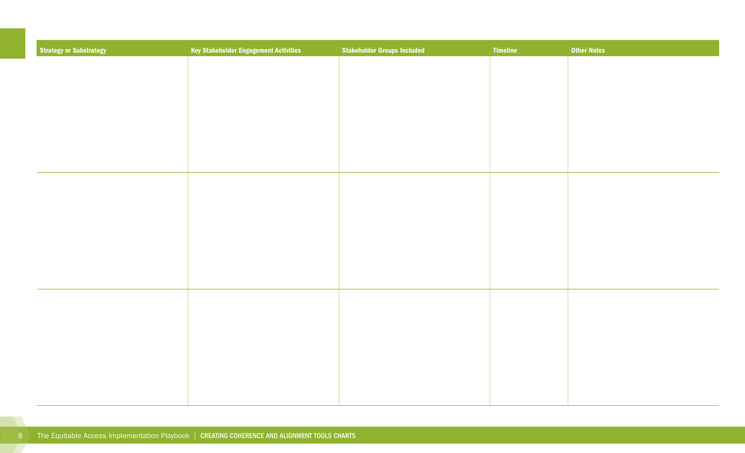| <b>Strategy or Substrategy</b> | <b>Key Stakeholder Engagement Activities</b> | <b>Stakeholder Groups Included</b> | <b>Timeline</b> | <b>Other Notes</b> |
|--------------------------------|----------------------------------------------|------------------------------------|-----------------|--------------------|
|                                |                                              |                                    |                 |                    |
|                                |                                              |                                    |                 |                    |
|                                |                                              |                                    |                 |                    |
|                                |                                              |                                    |                 |                    |
|                                |                                              |                                    |                 |                    |
|                                |                                              |                                    |                 |                    |
|                                |                                              |                                    |                 |                    |
|                                |                                              |                                    |                 |                    |
|                                |                                              |                                    |                 |                    |
|                                |                                              |                                    |                 |                    |
|                                |                                              |                                    |                 |                    |
|                                |                                              |                                    |                 |                    |
|                                |                                              |                                    |                 |                    |
|                                |                                              |                                    |                 |                    |
|                                |                                              |                                    |                 |                    |
|                                |                                              |                                    |                 |                    |
|                                |                                              |                                    |                 |                    |
|                                |                                              |                                    |                 |                    |
|                                |                                              |                                    |                 |                    |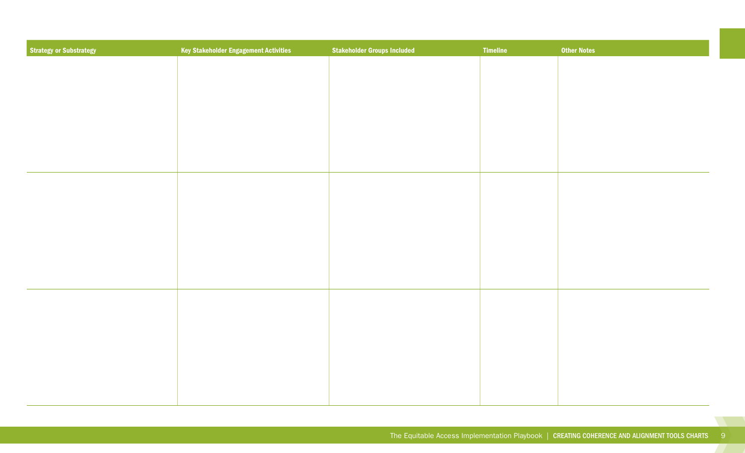| <b>Strategy or Substrategy</b> | Key Stakeholder Engagement Activities | <b>Stakeholder Groups Included</b> | <b>Timeline</b> | <b>Other Notes</b> |
|--------------------------------|---------------------------------------|------------------------------------|-----------------|--------------------|
|                                |                                       |                                    |                 |                    |
|                                |                                       |                                    |                 |                    |
|                                |                                       |                                    |                 |                    |
|                                |                                       |                                    |                 |                    |
|                                |                                       |                                    |                 |                    |
|                                |                                       |                                    |                 |                    |
|                                |                                       |                                    |                 |                    |
|                                |                                       |                                    |                 |                    |
|                                |                                       |                                    |                 |                    |
|                                |                                       |                                    |                 |                    |
|                                |                                       |                                    |                 |                    |
|                                |                                       |                                    |                 |                    |
|                                |                                       |                                    |                 |                    |
|                                |                                       |                                    |                 |                    |
|                                |                                       |                                    |                 |                    |
|                                |                                       |                                    |                 |                    |
|                                |                                       |                                    |                 |                    |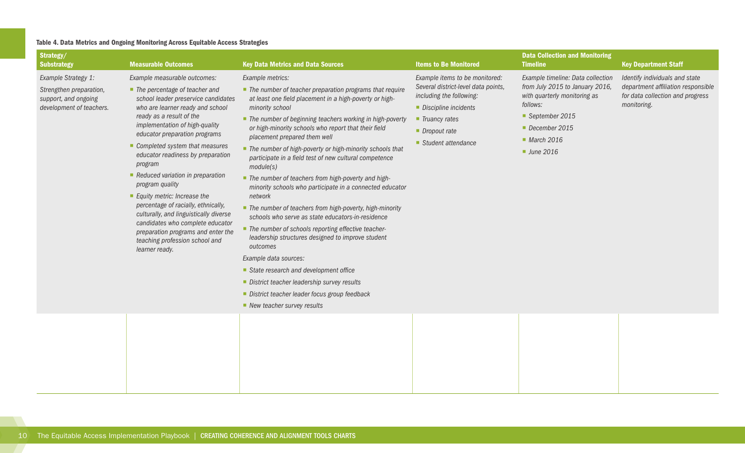## <span id="page-13-0"></span>Table 4. Data Metrics and Ongoing Monitoring Across Equitable Access Strategies

| Strategy/<br><b>Substrategy</b>                                                                    | <b>Measurable Outcomes</b>                                                                                                                                                                                                                                                                                                                                                                                                                                                                                                                                                                                                                    | <b>Key Data Metrics and Data Sources</b>                                                                                                                                                                                                                                                                                                                                                                                                                                                                                                                                                                                                                                                                                                                                                                                                                                                                                                                                                                                                    | <b>Items to Be Monitored</b>                                                                                                                                                                      | <b>Data Collection and Monitoring</b><br><b>Timeline</b>                                                                                                                       | <b>Key Department Staff</b>                                                                                             |
|----------------------------------------------------------------------------------------------------|-----------------------------------------------------------------------------------------------------------------------------------------------------------------------------------------------------------------------------------------------------------------------------------------------------------------------------------------------------------------------------------------------------------------------------------------------------------------------------------------------------------------------------------------------------------------------------------------------------------------------------------------------|---------------------------------------------------------------------------------------------------------------------------------------------------------------------------------------------------------------------------------------------------------------------------------------------------------------------------------------------------------------------------------------------------------------------------------------------------------------------------------------------------------------------------------------------------------------------------------------------------------------------------------------------------------------------------------------------------------------------------------------------------------------------------------------------------------------------------------------------------------------------------------------------------------------------------------------------------------------------------------------------------------------------------------------------|---------------------------------------------------------------------------------------------------------------------------------------------------------------------------------------------------|--------------------------------------------------------------------------------------------------------------------------------------------------------------------------------|-------------------------------------------------------------------------------------------------------------------------|
| Example Strategy 1:<br>Strengthen preparation,<br>support, and ongoing<br>development of teachers. | Example measurable outcomes:<br>$\blacksquare$ The percentage of teacher and<br>school leader preservice candidates<br>who are learner ready and school<br>ready as a result of the<br>implementation of high-quality<br>educator preparation programs<br>Completed system that measures<br>educator readiness by preparation<br>program<br>Reduced variation in preparation<br>program quality<br>Equity metric: Increase the<br>percentage of racially, ethnically,<br>culturally, and linguistically diverse<br>candidates who complete educator<br>preparation programs and enter the<br>teaching profession school and<br>learner ready. | Example metrics:<br>• The number of teacher preparation programs that require<br>at least one field placement in a high-poverty or high-<br>minority school<br>■ The number of beginning teachers working in high-poverty<br>or high-minority schools who report that their field<br>placement prepared them well<br>The number of high-poverty or high-minority schools that<br>participate in a field test of new cultural competence<br>module(s)<br>• The number of teachers from high-poverty and high-<br>minority schools who participate in a connected educator<br>network<br>• The number of teachers from high-poverty, high-minority<br>schools who serve as state educators-in-residence<br>• The number of schools reporting effective teacher-<br>leadership structures designed to improve student<br>outcomes<br>Example data sources:<br>State research and development office<br>District teacher leadership survey results<br>District teacher leader focus group feedback<br>$\blacksquare$ New teacher survey results | Example items to be monitored:<br>Several district-level data points,<br>including the following:<br>Discipline incidents<br>$\blacksquare$ Truancy rates<br>Dropout rate<br>■ Student attendance | Example timeline: Data collection<br>from July 2015 to January 2016,<br>with quarterly monitoring as<br>follows:<br>September 2015<br>December 2015<br>March 2016<br>June 2016 | Identify individuals and state<br>department affiliation responsible<br>for data collection and progress<br>monitoring. |
|                                                                                                    |                                                                                                                                                                                                                                                                                                                                                                                                                                                                                                                                                                                                                                               |                                                                                                                                                                                                                                                                                                                                                                                                                                                                                                                                                                                                                                                                                                                                                                                                                                                                                                                                                                                                                                             |                                                                                                                                                                                                   |                                                                                                                                                                                |                                                                                                                         |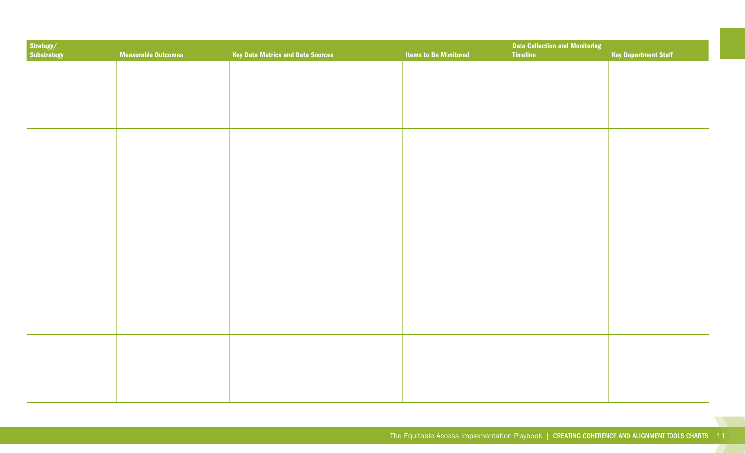| Strategy/<br>Substrategy | <b>Measurable Outcomes</b> | <b>Key Data Metrics and Data Sources</b> | <b>Items to Be Monitored</b> | <b>Data Collection and Monitoring</b><br>Timeline | <b>Key Department Staff</b> |
|--------------------------|----------------------------|------------------------------------------|------------------------------|---------------------------------------------------|-----------------------------|
|                          |                            |                                          |                              |                                                   |                             |
|                          |                            |                                          |                              |                                                   |                             |
|                          |                            |                                          |                              |                                                   |                             |
|                          |                            |                                          |                              |                                                   |                             |
|                          |                            |                                          |                              |                                                   |                             |
|                          |                            |                                          |                              |                                                   |                             |
|                          |                            |                                          |                              |                                                   |                             |
|                          |                            |                                          |                              |                                                   |                             |
|                          |                            |                                          |                              |                                                   |                             |
|                          |                            |                                          |                              |                                                   |                             |
|                          |                            |                                          |                              |                                                   |                             |
|                          |                            |                                          |                              |                                                   |                             |
|                          |                            |                                          |                              |                                                   |                             |
|                          |                            |                                          |                              |                                                   |                             |
|                          |                            |                                          |                              |                                                   |                             |

**CONTRACTOR**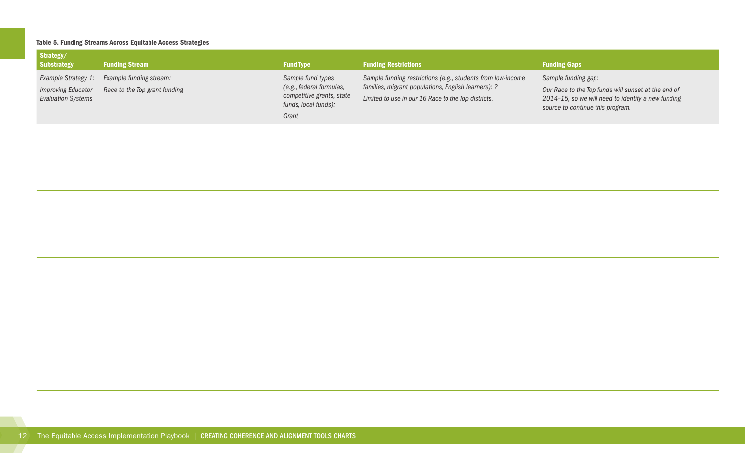## <span id="page-15-0"></span>Table 5. Funding Streams Across Equitable Access Strategies

| Strategy/<br><b>Substrategy</b>                                               | <b>Funding Stream</b>                                    | <b>Fund Type</b>                                                                                            | <b>Funding Restrictions</b>                                                                                                                                               | <b>Funding Gaps</b>                                                                                                                                                  |
|-------------------------------------------------------------------------------|----------------------------------------------------------|-------------------------------------------------------------------------------------------------------------|---------------------------------------------------------------------------------------------------------------------------------------------------------------------------|----------------------------------------------------------------------------------------------------------------------------------------------------------------------|
| Example Strategy 1:<br><b>Improving Educator</b><br><b>Evaluation Systems</b> | Example funding stream:<br>Race to the Top grant funding | Sample fund types<br>(e.g., federal formulas,<br>competitive grants, state<br>funds, local funds):<br>Grant | Sample funding restrictions (e.g., students from low-income<br>families, migrant populations, English learners): ?<br>Limited to use in our 16 Race to the Top districts. | Sample funding gap:<br>Our Race to the Top funds will sunset at the end of<br>2014-15, so we will need to identify a new funding<br>source to continue this program. |
|                                                                               |                                                          |                                                                                                             |                                                                                                                                                                           |                                                                                                                                                                      |
|                                                                               |                                                          |                                                                                                             |                                                                                                                                                                           |                                                                                                                                                                      |
|                                                                               |                                                          |                                                                                                             |                                                                                                                                                                           |                                                                                                                                                                      |
|                                                                               |                                                          |                                                                                                             |                                                                                                                                                                           |                                                                                                                                                                      |